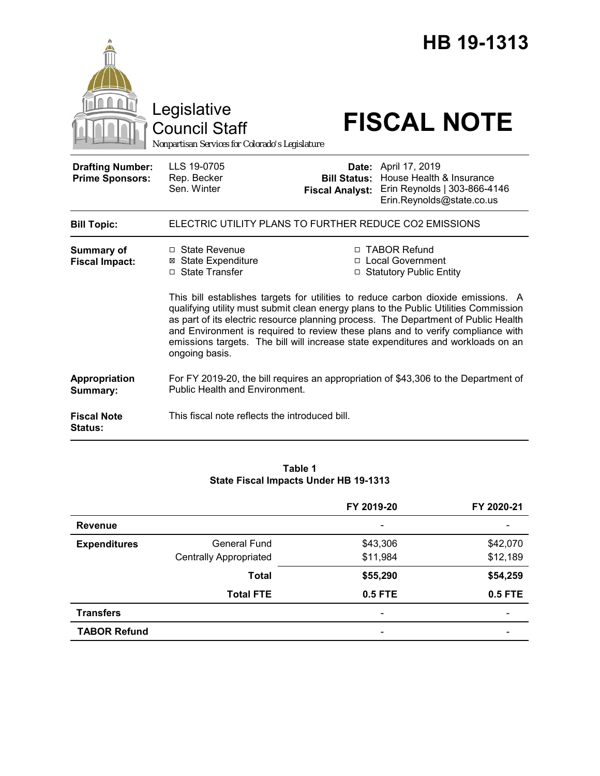|                                                   | Legislative<br><b>Council Staff</b><br>Nonpartisan Services for Colorado's Legislature                                                                                                                                                                                                                                                                                                                                                                                                                                                                                           |                        | HB 19-1313<br><b>FISCAL NOTE</b>                                                                                                         |  |
|---------------------------------------------------|----------------------------------------------------------------------------------------------------------------------------------------------------------------------------------------------------------------------------------------------------------------------------------------------------------------------------------------------------------------------------------------------------------------------------------------------------------------------------------------------------------------------------------------------------------------------------------|------------------------|------------------------------------------------------------------------------------------------------------------------------------------|--|
| <b>Drafting Number:</b><br><b>Prime Sponsors:</b> | LLS 19-0705<br>Rep. Becker<br>Sen. Winter                                                                                                                                                                                                                                                                                                                                                                                                                                                                                                                                        | <b>Fiscal Analyst:</b> | <b>Date:</b> April 17, 2019<br><b>Bill Status:</b> House Health & Insurance<br>Erin Reynolds   303-866-4146<br>Erin.Reynolds@state.co.us |  |
| <b>Bill Topic:</b>                                | ELECTRIC UTILITY PLANS TO FURTHER REDUCE CO2 EMISSIONS                                                                                                                                                                                                                                                                                                                                                                                                                                                                                                                           |                        |                                                                                                                                          |  |
| <b>Summary of</b><br><b>Fiscal Impact:</b>        | □ State Revenue<br>□ TABOR Refund<br><b>⊠ State Expenditure</b><br>□ Local Government<br>□ State Transfer<br>□ Statutory Public Entity<br>This bill establishes targets for utilities to reduce carbon dioxide emissions. A<br>qualifying utility must submit clean energy plans to the Public Utilities Commission<br>as part of its electric resource planning process. The Department of Public Health<br>and Environment is required to review these plans and to verify compliance with<br>emissions targets. The bill will increase state expenditures and workloads on an |                        |                                                                                                                                          |  |
| Appropriation<br>Summary:                         | ongoing basis.<br>For FY 2019-20, the bill requires an appropriation of \$43,306 to the Department of<br><b>Public Health and Environment.</b>                                                                                                                                                                                                                                                                                                                                                                                                                                   |                        |                                                                                                                                          |  |
| <b>Fiscal Note</b><br>Status:                     | This fiscal note reflects the introduced bill.                                                                                                                                                                                                                                                                                                                                                                                                                                                                                                                                   |                        |                                                                                                                                          |  |

### **Table 1 State Fiscal Impacts Under HB 19-1313**

|                     |                               | FY 2019-20               | FY 2020-21 |
|---------------------|-------------------------------|--------------------------|------------|
| <b>Revenue</b>      |                               | $\overline{\phantom{a}}$ |            |
| <b>Expenditures</b> | <b>General Fund</b>           | \$43,306                 | \$42,070   |
|                     | <b>Centrally Appropriated</b> | \$11,984                 | \$12,189   |
|                     | <b>Total</b>                  | \$55,290                 | \$54,259   |
|                     | <b>Total FTE</b>              | 0.5 FTE                  | 0.5 FTE    |
| <b>Transfers</b>    |                               |                          |            |
| <b>TABOR Refund</b> |                               | $\overline{\phantom{0}}$ |            |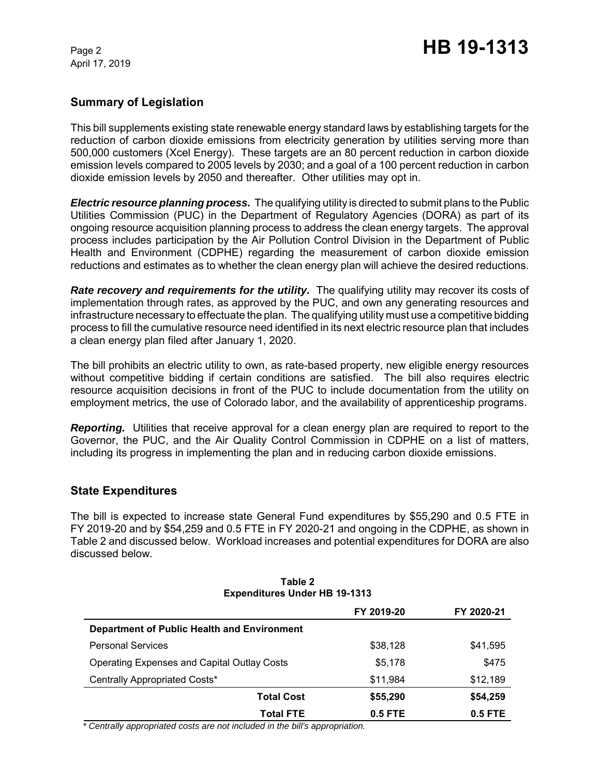April 17, 2019

## **Summary of Legislation**

This bill supplements existing state renewable energy standard laws by establishing targets for the reduction of carbon dioxide emissions from electricity generation by utilities serving more than 500,000 customers (Xcel Energy). These targets are an 80 percent reduction in carbon dioxide emission levels compared to 2005 levels by 2030; and a goal of a 100 percent reduction in carbon dioxide emission levels by 2050 and thereafter. Other utilities may opt in.

*Electric resource planning process.* The qualifying utility is directed to submit plans to the Public Utilities Commission (PUC) in the Department of Regulatory Agencies (DORA) as part of its ongoing resource acquisition planning process to address the clean energy targets. The approval process includes participation by the Air Pollution Control Division in the Department of Public Health and Environment (CDPHE) regarding the measurement of carbon dioxide emission reductions and estimates as to whether the clean energy plan will achieve the desired reductions.

**Rate recovery and requirements for the utility.** The qualifying utility may recover its costs of implementation through rates, as approved by the PUC, and own any generating resources and infrastructure necessary to effectuate the plan. The qualifying utility must use a competitive bidding process to fill the cumulative resource need identified in its next electric resource plan that includes a clean energy plan filed after January 1, 2020.

The bill prohibits an electric utility to own, as rate-based property, new eligible energy resources without competitive bidding if certain conditions are satisfied. The bill also requires electric resource acquisition decisions in front of the PUC to include documentation from the utility on employment metrics, the use of Colorado labor, and the availability of apprenticeship programs.

**Reporting.** Utilities that receive approval for a clean energy plan are required to report to the Governor, the PUC, and the Air Quality Control Commission in CDPHE on a list of matters, including its progress in implementing the plan and in reducing carbon dioxide emissions.

## **State Expenditures**

The bill is expected to increase state General Fund expenditures by \$55,290 and 0.5 FTE in FY 2019-20 and by \$54,259 and 0.5 FTE in FY 2020-21 and ongoing in the CDPHE, as shown in Table 2 and discussed below. Workload increases and potential expenditures for DORA are also discussed below.

| <b>EXPERIGILATES UNDER THE 13-1313</b>             |                               |            |  |  |
|----------------------------------------------------|-------------------------------|------------|--|--|
|                                                    | FY 2019-20                    | FY 2020-21 |  |  |
| Department of Public Health and Environment        |                               |            |  |  |
| <b>Personal Services</b>                           | \$38,128                      | \$41,595   |  |  |
| <b>Operating Expenses and Capital Outlay Costs</b> | \$5.178                       | \$475      |  |  |
| Centrally Appropriated Costs*                      | \$11,984                      | \$12,189   |  |  |
|                                                    | \$55,290<br><b>Total Cost</b> | \$54,259   |  |  |
|                                                    | 0.5 FTE<br><b>Total FTE</b>   | $0.5$ FTE  |  |  |

#### **Table 2 Expenditures Under HB 19-1313**

 *\* Centrally appropriated costs are not included in the bill's appropriation.*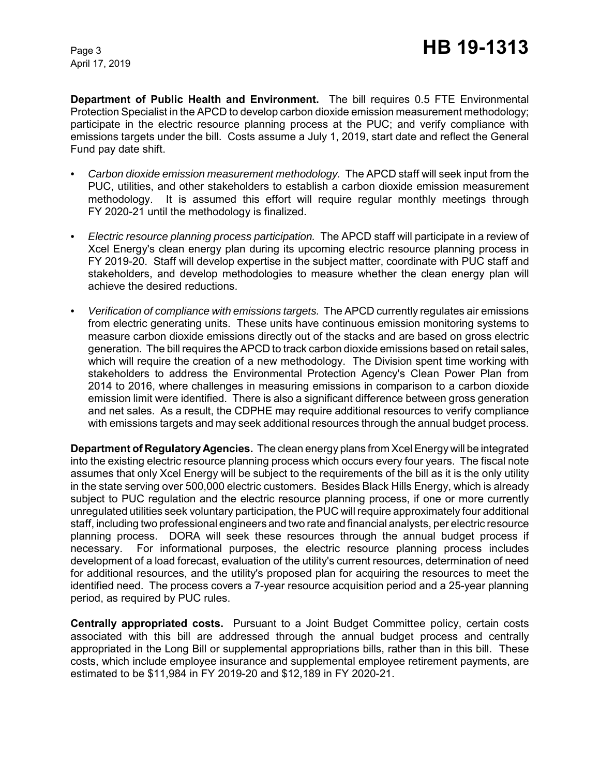April 17, 2019

**Department of Public Health and Environment.** The bill requires 0.5 FTE Environmental Protection Specialist in the APCD to develop carbon dioxide emission measurement methodology; participate in the electric resource planning process at the PUC; and verify compliance with emissions targets under the bill. Costs assume a July 1, 2019, start date and reflect the General Fund pay date shift.

- *Carbon dioxide emission measurement methodology.* The APCD staff will seek input from the PUC, utilities, and other stakeholders to establish a carbon dioxide emission measurement methodology. It is assumed this effort will require regular monthly meetings through FY 2020-21 until the methodology is finalized.
- *Electric resource planning process participation.* The APCD staff will participate in a review of Xcel Energy's clean energy plan during its upcoming electric resource planning process in FY 2019-20. Staff will develop expertise in the subject matter, coordinate with PUC staff and stakeholders, and develop methodologies to measure whether the clean energy plan will achieve the desired reductions.
- *Verification of compliance with emissions targets.* The APCD currently regulates air emissions from electric generating units. These units have continuous emission monitoring systems to measure carbon dioxide emissions directly out of the stacks and are based on gross electric generation. The bill requires the APCD to track carbon dioxide emissions based on retail sales, which will require the creation of a new methodology. The Division spent time working with stakeholders to address the Environmental Protection Agency's Clean Power Plan from 2014 to 2016, where challenges in measuring emissions in comparison to a carbon dioxide emission limit were identified. There is also a significant difference between gross generation and net sales. As a result, the CDPHE may require additional resources to verify compliance with emissions targets and may seek additional resources through the annual budget process.

**Department of Regulatory Agencies.** The clean energy plans from Xcel Energy will be integrated into the existing electric resource planning process which occurs every four years. The fiscal note assumes that only Xcel Energy will be subject to the requirements of the bill as it is the only utility in the state serving over 500,000 electric customers. Besides Black Hills Energy, which is already subject to PUC regulation and the electric resource planning process, if one or more currently unregulated utilities seek voluntary participation, the PUC will require approximately four additional staff, including two professional engineers and two rate and financial analysts, per electric resource planning process. DORA will seek these resources through the annual budget process if necessary. For informational purposes, the electric resource planning process includes development of a load forecast, evaluation of the utility's current resources, determination of need for additional resources, and the utility's proposed plan for acquiring the resources to meet the identified need. The process covers a 7-year resource acquisition period and a 25-year planning period, as required by PUC rules.

**Centrally appropriated costs.** Pursuant to a Joint Budget Committee policy, certain costs associated with this bill are addressed through the annual budget process and centrally appropriated in the Long Bill or supplemental appropriations bills, rather than in this bill. These costs, which include employee insurance and supplemental employee retirement payments, are estimated to be \$11,984 in FY 2019-20 and \$12,189 in FY 2020-21.